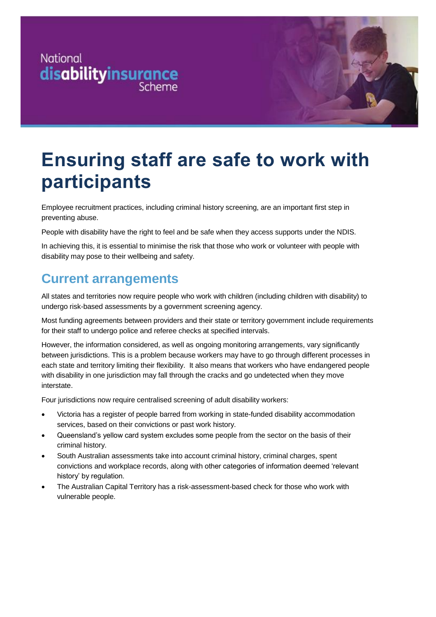



# **Ensuring staff are safe to work with participants**

Employee recruitment practices, including criminal history screening, are an important first step in preventing abuse.

People with disability have the right to feel and be safe when they access supports under the NDIS.

In achieving this, it is essential to minimise the risk that those who work or volunteer with people with disability may pose to their wellbeing and safety.

### **Current arrangements**

All states and territories now require people who work with children (including children with disability) to undergo risk-based assessments by a government screening agency.

Most funding agreements between providers and their state or territory government include requirements for their staff to undergo police and referee checks at specified intervals.

However, the information considered, as well as ongoing monitoring arrangements, vary significantly between jurisdictions. This is a problem because workers may have to go through different processes in each state and territory limiting their flexibility. It also means that workers who have endangered people with disability in one jurisdiction may fall through the cracks and go undetected when they move interstate.

Four jurisdictions now require centralised screening of adult disability workers:

- Victoria has a register of people barred from working in state-funded disability accommodation services, based on their convictions or past work history.
- Queensland's yellow card system excludes some people from the sector on the basis of their criminal history.
- South Australian assessments take into account criminal history, criminal charges, spent convictions and workplace records, along with other categories of information deemed 'relevant history' by regulation.
- The Australian Capital Territory has a risk-assessment-based check for those who work with vulnerable people.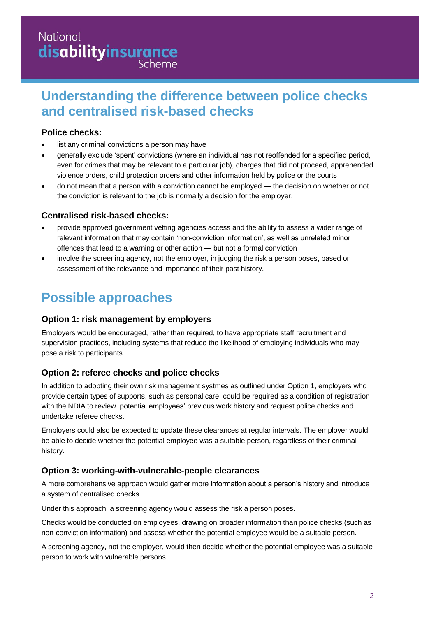## **National disabilityinsurance**

### **Understanding the difference between police checks and centralised risk-based checks**

#### **Police checks:**

- list any criminal convictions a person may have
- generally exclude 'spent' convictions (where an individual has not reoffended for a specified period, even for crimes that may be relevant to a particular job), charges that did not proceed, apprehended violence orders, child protection orders and other information held by police or the courts
- do not mean that a person with a conviction cannot be employed the decision on whether or not the conviction is relevant to the job is normally a decision for the employer.

#### **Centralised risk-based checks:**

- provide approved government vetting agencies access and the ability to assess a wider range of relevant information that may contain 'non-conviction information', as well as unrelated minor offences that lead to a warning or other action — but not a formal conviction
- involve the screening agency, not the employer, in judging the risk a person poses, based on assessment of the relevance and importance of their past history.

## **Possible approaches**

#### **Option 1: risk management by employers**

Employers would be encouraged, rather than required, to have appropriate staff recruitment and supervision practices, including systems that reduce the likelihood of employing individuals who may pose a risk to participants.

#### **Option 2: referee checks and police checks**

In addition to adopting their own risk management systmes as outlined under Option 1, employers who provide certain types of supports, such as personal care, could be required as a condition of registration with the NDIA to review potential employees' previous work history and request police checks and undertake referee checks.

Employers could also be expected to update these clearances at regular intervals. The employer would be able to decide whether the potential employee was a suitable person, regardless of their criminal history.

#### **Option 3: working-with-vulnerable-people clearances**

A more comprehensive approach would gather more information about a person's history and introduce a system of centralised checks.

Under this approach, a screening agency would assess the risk a person poses.

Checks would be conducted on employees, drawing on broader information than police checks (such as non-conviction information) and assess whether the potential employee would be a suitable person.

A screening agency, not the employer, would then decide whether the potential employee was a suitable person to work with vulnerable persons.